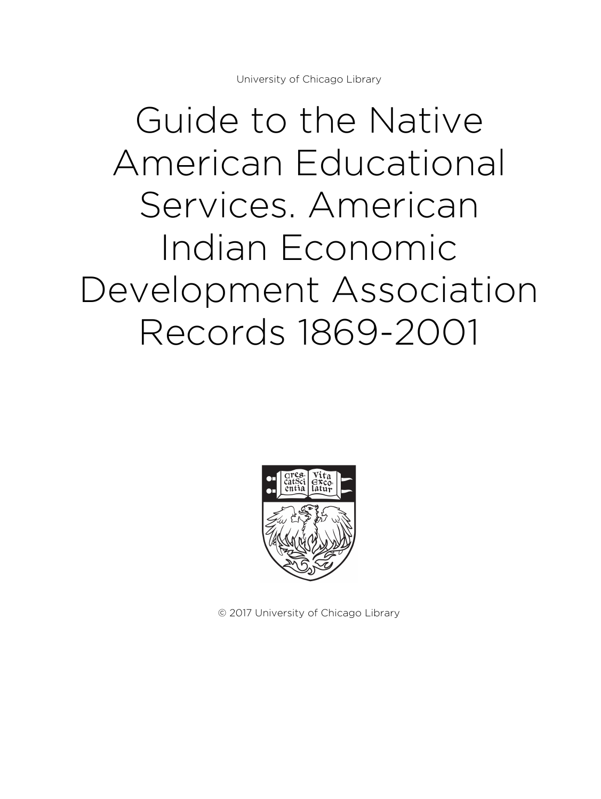University of Chicago Library

# Guide to the Native American Educational Services. American Indian Economic Development Association Records 1869-2001



© 2017 University of Chicago Library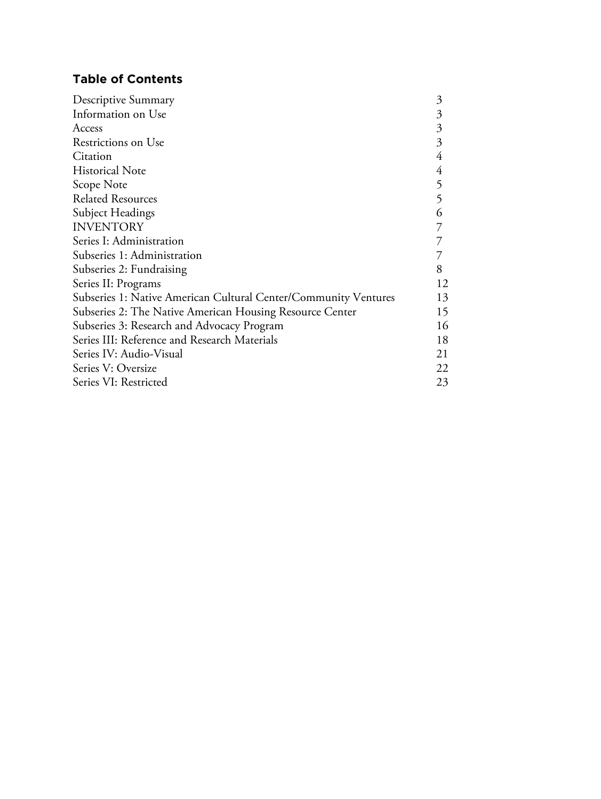### **Table of Contents**

| Descriptive Summary                                             |    |
|-----------------------------------------------------------------|----|
| Information on Use                                              | 3  |
| Access                                                          | 3  |
| Restrictions on Use                                             | 3  |
| Citation                                                        | 4  |
| <b>Historical Note</b>                                          | 4  |
| Scope Note                                                      | 5  |
| <b>Related Resources</b>                                        |    |
| Subject Headings                                                |    |
| <b>INVENTORY</b>                                                |    |
| Series I: Administration                                        |    |
| Subseries 1: Administration                                     |    |
| Subseries 2: Fundraising                                        |    |
| Series II: Programs                                             |    |
| Subseries 1: Native American Cultural Center/Community Ventures |    |
| Subseries 2: The Native American Housing Resource Center        |    |
| Subseries 3: Research and Advocacy Program                      |    |
| Series III: Reference and Research Materials                    |    |
| Series IV: Audio-Visual                                         | 21 |
| Series V: Oversize                                              |    |
| Series VI: Restricted                                           |    |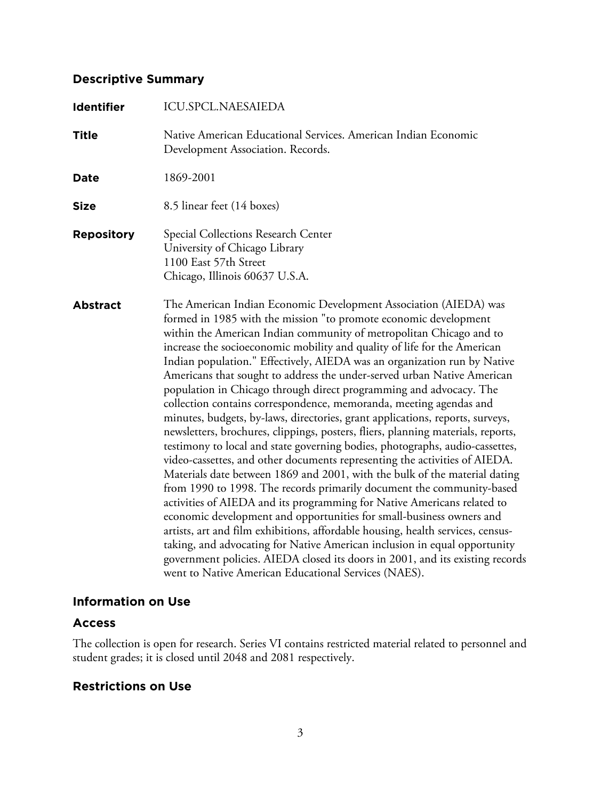### **Descriptive Summary**

| <b>Identifier</b> | ICU.SPCL.NAESAIEDA                                                                                                                                                                                                                                                                                                                                                                                                                                                                                                                                                                                                                                                                                                                                                                                                                                                                                                                                                                                                                                                                                                                                                                                                                                                                                                                                                                                                                                                                                                                               |
|-------------------|--------------------------------------------------------------------------------------------------------------------------------------------------------------------------------------------------------------------------------------------------------------------------------------------------------------------------------------------------------------------------------------------------------------------------------------------------------------------------------------------------------------------------------------------------------------------------------------------------------------------------------------------------------------------------------------------------------------------------------------------------------------------------------------------------------------------------------------------------------------------------------------------------------------------------------------------------------------------------------------------------------------------------------------------------------------------------------------------------------------------------------------------------------------------------------------------------------------------------------------------------------------------------------------------------------------------------------------------------------------------------------------------------------------------------------------------------------------------------------------------------------------------------------------------------|
| <b>Title</b>      | Native American Educational Services. American Indian Economic<br>Development Association. Records.                                                                                                                                                                                                                                                                                                                                                                                                                                                                                                                                                                                                                                                                                                                                                                                                                                                                                                                                                                                                                                                                                                                                                                                                                                                                                                                                                                                                                                              |
| <b>Date</b>       | 1869-2001                                                                                                                                                                                                                                                                                                                                                                                                                                                                                                                                                                                                                                                                                                                                                                                                                                                                                                                                                                                                                                                                                                                                                                                                                                                                                                                                                                                                                                                                                                                                        |
| <b>Size</b>       | 8.5 linear feet (14 boxes)                                                                                                                                                                                                                                                                                                                                                                                                                                                                                                                                                                                                                                                                                                                                                                                                                                                                                                                                                                                                                                                                                                                                                                                                                                                                                                                                                                                                                                                                                                                       |
| <b>Repository</b> | Special Collections Research Center<br>University of Chicago Library<br>1100 East 57th Street<br>Chicago, Illinois 60637 U.S.A.                                                                                                                                                                                                                                                                                                                                                                                                                                                                                                                                                                                                                                                                                                                                                                                                                                                                                                                                                                                                                                                                                                                                                                                                                                                                                                                                                                                                                  |
| <b>Abstract</b>   | The American Indian Economic Development Association (AIEDA) was<br>formed in 1985 with the mission "to promote economic development<br>within the American Indian community of metropolitan Chicago and to<br>increase the socioeconomic mobility and quality of life for the American<br>Indian population." Effectively, AIEDA was an organization run by Native<br>Americans that sought to address the under-served urban Native American<br>population in Chicago through direct programming and advocacy. The<br>collection contains correspondence, memoranda, meeting agendas and<br>minutes, budgets, by-laws, directories, grant applications, reports, surveys,<br>newsletters, brochures, clippings, posters, fliers, planning materials, reports,<br>testimony to local and state governing bodies, photographs, audio-cassettes,<br>video-cassettes, and other documents representing the activities of AIEDA.<br>Materials date between 1869 and 2001, with the bulk of the material dating<br>from 1990 to 1998. The records primarily document the community-based<br>activities of AIEDA and its programming for Native Americans related to<br>economic development and opportunities for small-business owners and<br>artists, art and film exhibitions, affordable housing, health services, census-<br>taking, and advocating for Native American inclusion in equal opportunity<br>government policies. AIEDA closed its doors in 2001, and its existing records<br>went to Native American Educational Services (NAES). |

### **Information on Use**

### **Access**

The collection is open for research. Series VI contains restricted material related to personnel and student grades; it is closed until 2048 and 2081 respectively.

### **Restrictions on Use**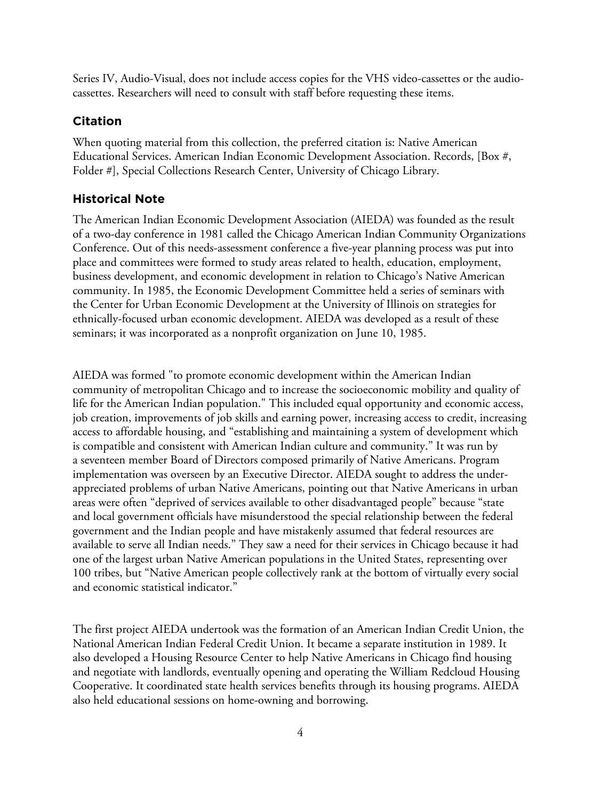Series IV, Audio-Visual, does not include access copies for the VHS video-cassettes or the audiocassettes. Researchers will need to consult with staff before requesting these items.

### **Citation**

When quoting material from this collection, the preferred citation is: Native American Educational Services. American Indian Economic Development Association. Records, [Box #, Folder #], Special Collections Research Center, University of Chicago Library.

### **Historical Note**

The American Indian Economic Development Association (AIEDA) was founded as the result of a two-day conference in 1981 called the Chicago American Indian Community Organizations Conference. Out of this needs-assessment conference a five-year planning process was put into place and committees were formed to study areas related to health, education, employment, business development, and economic development in relation to Chicago's Native American community. In 1985, the Economic Development Committee held a series of seminars with the Center for Urban Economic Development at the University of Illinois on strategies for ethnically-focused urban economic development. AIEDA was developed as a result of these seminars; it was incorporated as a nonprofit organization on June 10, 1985.

AIEDA was formed "to promote economic development within the American Indian community of metropolitan Chicago and to increase the socioeconomic mobility and quality of life for the American Indian population." This included equal opportunity and economic access, job creation, improvements of job skills and earning power, increasing access to credit, increasing access to affordable housing, and "establishing and maintaining a system of development which is compatible and consistent with American Indian culture and community." It was run by a seventeen member Board of Directors composed primarily of Native Americans. Program implementation was overseen by an Executive Director. AIEDA sought to address the underappreciated problems of urban Native Americans, pointing out that Native Americans in urban areas were often "deprived of services available to other disadvantaged people" because "state and local government officials have misunderstood the special relationship between the federal government and the Indian people and have mistakenly assumed that federal resources are available to serve all Indian needs." They saw a need for their services in Chicago because it had one of the largest urban Native American populations in the United States, representing over 100 tribes, but "Native American people collectively rank at the bottom of virtually every social and economic statistical indicator."

The first project AIEDA undertook was the formation of an American Indian Credit Union, the National American Indian Federal Credit Union. It became a separate institution in 1989. It also developed a Housing Resource Center to help Native Americans in Chicago find housing and negotiate with landlords, eventually opening and operating the William Redcloud Housing Cooperative. It coordinated state health services benefits through its housing programs. AIEDA also held educational sessions on home-owning and borrowing.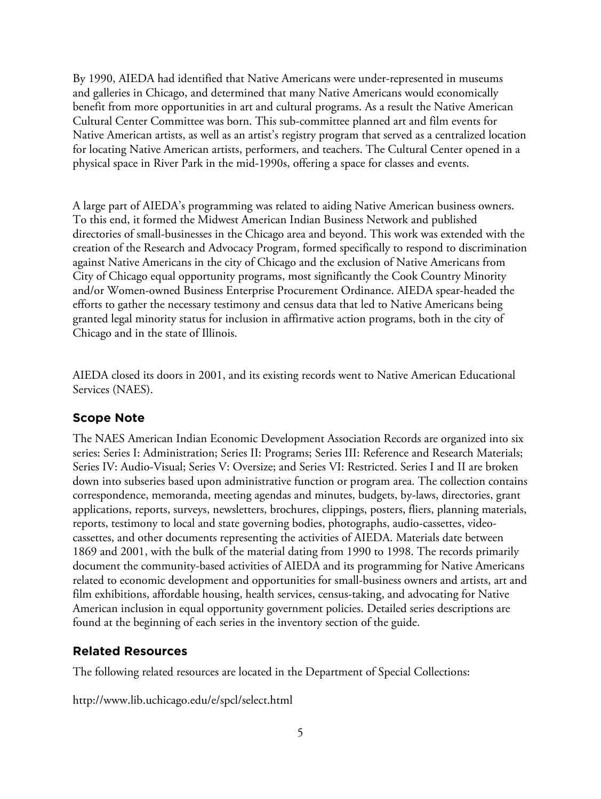By 1990, AIEDA had identified that Native Americans were under-represented in museums and galleries in Chicago, and determined that many Native Americans would economically benefit from more opportunities in art and cultural programs. As a result the Native American Cultural Center Committee was born. This sub-committee planned art and film events for Native American artists, as well as an artist's registry program that served as a centralized location for locating Native American artists, performers, and teachers. The Cultural Center opened in a physical space in River Park in the mid-1990s, offering a space for classes and events.

A large part of AIEDA's programming was related to aiding Native American business owners. To this end, it formed the Midwest American Indian Business Network and published directories of small-businesses in the Chicago area and beyond. This work was extended with the creation of the Research and Advocacy Program, formed specifically to respond to discrimination against Native Americans in the city of Chicago and the exclusion of Native Americans from City of Chicago equal opportunity programs, most significantly the Cook Country Minority and/or Women-owned Business Enterprise Procurement Ordinance. AIEDA spear-headed the efforts to gather the necessary testimony and census data that led to Native Americans being granted legal minority status for inclusion in affirmative action programs, both in the city of Chicago and in the state of Illinois.

AIEDA closed its doors in 2001, and its existing records went to Native American Educational Services (NAES).

### **Scope Note**

The NAES American Indian Economic Development Association Records are organized into six series: Series I: Administration; Series II: Programs; Series III: Reference and Research Materials; Series IV: Audio-Visual; Series V: Oversize; and Series VI: Restricted. Series I and II are broken down into subseries based upon administrative function or program area. The collection contains correspondence, memoranda, meeting agendas and minutes, budgets, by-laws, directories, grant applications, reports, surveys, newsletters, brochures, clippings, posters, fliers, planning materials, reports, testimony to local and state governing bodies, photographs, audio-cassettes, videocassettes, and other documents representing the activities of AIEDA. Materials date between 1869 and 2001, with the bulk of the material dating from 1990 to 1998. The records primarily document the community-based activities of AIEDA and its programming for Native Americans related to economic development and opportunities for small-business owners and artists, art and film exhibitions, affordable housing, health services, census-taking, and advocating for Native American inclusion in equal opportunity government policies. Detailed series descriptions are found at the beginning of each series in the inventory section of the guide.

### **Related Resources**

The following related resources are located in the Department of Special Collections:

http://www.lib.uchicago.edu/e/spcl/select.html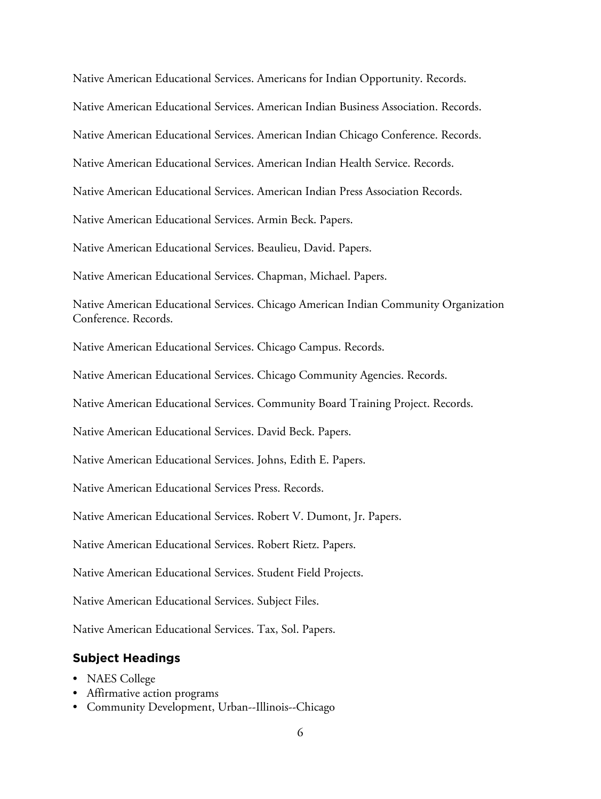Native American Educational Services. Americans for Indian Opportunity. Records. Native American Educational Services. American Indian Business Association. Records. Native American Educational Services. American Indian Chicago Conference. Records. Native American Educational Services. American Indian Health Service. Records. Native American Educational Services. American Indian Press Association Records. Native American Educational Services. Armin Beck. Papers. Native American Educational Services. Beaulieu, David. Papers. Native American Educational Services. Chapman, Michael. Papers. Native American Educational Services. Chicago American Indian Community Organization Conference. Records. Native American Educational Services. Chicago Campus. Records. Native American Educational Services. Chicago Community Agencies. Records. Native American Educational Services. Community Board Training Project. Records. Native American Educational Services. David Beck. Papers. Native American Educational Services. Johns, Edith E. Papers. Native American Educational Services Press. Records. Native American Educational Services. Robert V. Dumont, Jr. Papers. Native American Educational Services. Robert Rietz. Papers. Native American Educational Services. Student Field Projects. Native American Educational Services. Subject Files. Native American Educational Services. Tax, Sol. Papers.

### **Subject Headings**

- NAES College
- Affirmative action programs
- Community Development, Urban--Illinois--Chicago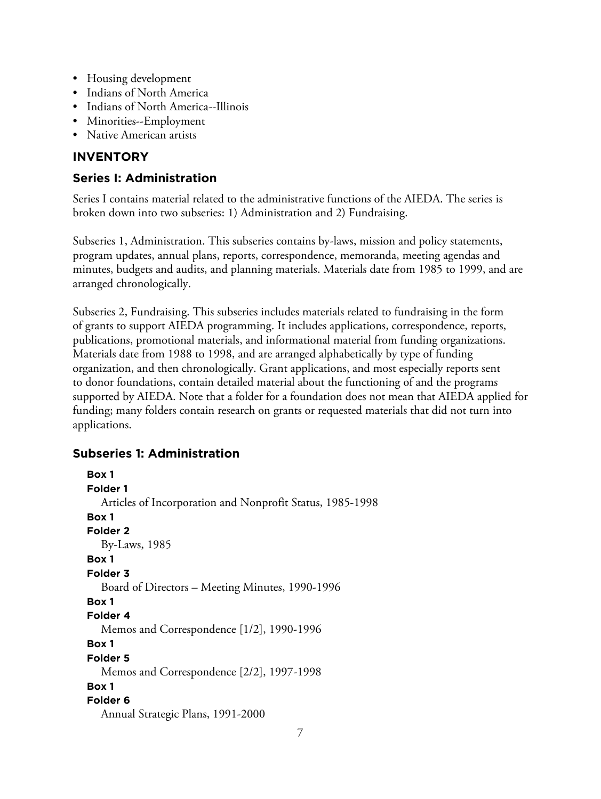- Housing development
- Indians of North America
- Indians of North America--Illinois
- Minorities--Employment
- Native American artists

### **INVENTORY**

### **Series I: Administration**

Series I contains material related to the administrative functions of the AIEDA. The series is broken down into two subseries: 1) Administration and 2) Fundraising.

Subseries 1, Administration. This subseries contains by-laws, mission and policy statements, program updates, annual plans, reports, correspondence, memoranda, meeting agendas and minutes, budgets and audits, and planning materials. Materials date from 1985 to 1999, and are arranged chronologically.

Subseries 2, Fundraising. This subseries includes materials related to fundraising in the form of grants to support AIEDA programming. It includes applications, correspondence, reports, publications, promotional materials, and informational material from funding organizations. Materials date from 1988 to 1998, and are arranged alphabetically by type of funding organization, and then chronologically. Grant applications, and most especially reports sent to donor foundations, contain detailed material about the functioning of and the programs supported by AIEDA. Note that a folder for a foundation does not mean that AIEDA applied for funding; many folders contain research on grants or requested materials that did not turn into applications.

### **Subseries 1: Administration**

```
Box 1
Folder 1
  Articles of Incorporation and Nonprofit Status, 1985-1998
Box 1
Folder 2
  By-Laws, 1985
Box 1
Folder 3
  Board of Directors – Meeting Minutes, 1990-1996
Box 1
Folder 4
  Memos and Correspondence [1/2], 1990-1996
Box 1
Folder 5
  Memos and Correspondence [2/2], 1997-1998
Box 1
Folder 6
  Annual Strategic Plans, 1991-2000
```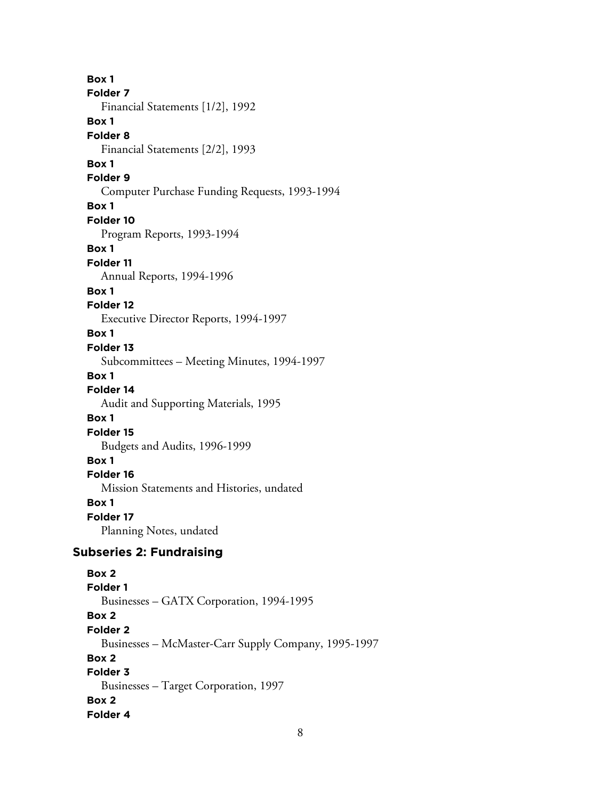**Box 1 Folder 7** Financial Statements [1/2], 1992 **Box 1 Folder 8** Financial Statements [2/2], 1993 **Box 1 Folder 9** Computer Purchase Funding Requests, 1993-1994 **Box 1 Folder 10** Program Reports, 1993-1994 **Box 1 Folder 11** Annual Reports, 1994-1996 **Box 1 Folder 12** Executive Director Reports, 1994-1997 **Box 1 Folder 13** Subcommittees – Meeting Minutes, 1994-1997 **Box 1 Folder 14** Audit and Supporting Materials, 1995 **Box 1 Folder 15** Budgets and Audits, 1996-1999 **Box 1 Folder 16** Mission Statements and Histories, undated **Box 1 Folder 17** Planning Notes, undated **Subseries 2: Fundraising Box 2 Folder 1** Businesses – GATX Corporation, 1994-1995 **Box 2 Folder 2** Businesses – McMaster-Carr Supply Company, 1995-1997 **Box 2 Folder 3** Businesses – Target Corporation, 1997 **Box 2**

**Folder 4**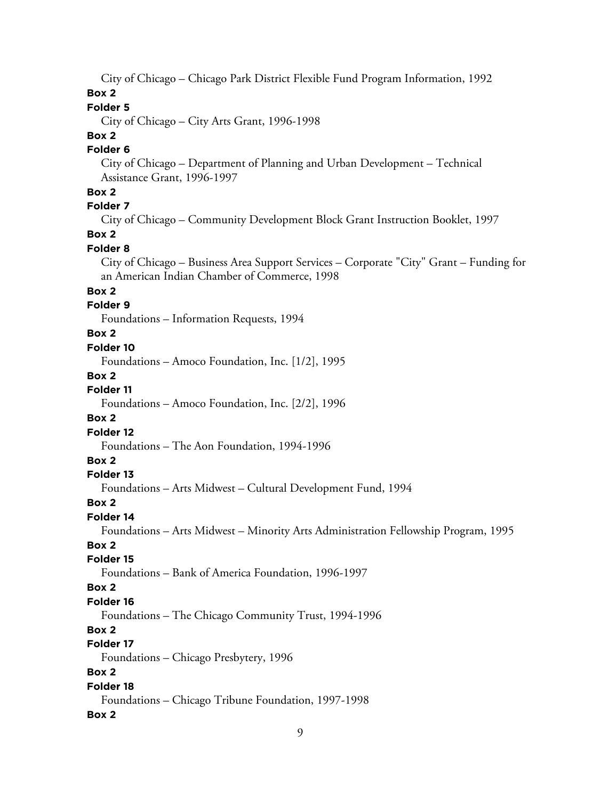City of Chicago – Chicago Park District Flexible Fund Program Information, 1992

## **Box 2**

### **Folder 5**

City of Chicago – City Arts Grant, 1996-1998

### **Box 2**

### **Folder 6**

City of Chicago – Department of Planning and Urban Development – Technical Assistance Grant, 1996-1997

### **Box 2**

### **Folder 7**

City of Chicago – Community Development Block Grant Instruction Booklet, 1997

### **Box 2**

### **Folder 8**

City of Chicago – Business Area Support Services – Corporate "City" Grant – Funding for an American Indian Chamber of Commerce, 1998

### **Box 2**

### **Folder 9**

Foundations – Information Requests, 1994

#### **Box 2**

### **Folder 10**

Foundations – Amoco Foundation, Inc. [1/2], 1995

#### **Box 2**

### **Folder 11**

Foundations – Amoco Foundation, Inc. [2/2], 1996

### **Box 2**

### **Folder 12**

Foundations – The Aon Foundation, 1994-1996

### **Box 2**

#### **Folder 13**

Foundations – Arts Midwest – Cultural Development Fund, 1994

#### **Box 2**

#### **Folder 14**

Foundations – Arts Midwest – Minority Arts Administration Fellowship Program, 1995

### **Box 2**

#### **Folder 15**

Foundations – Bank of America Foundation, 1996-1997

#### **Box 2**

#### **Folder 16**

Foundations – The Chicago Community Trust, 1994-1996

### **Box 2**

### **Folder 17**

Foundations – Chicago Presbytery, 1996

### **Box 2**

#### **Folder 18**

Foundations – Chicago Tribune Foundation, 1997-1998

#### **Box 2**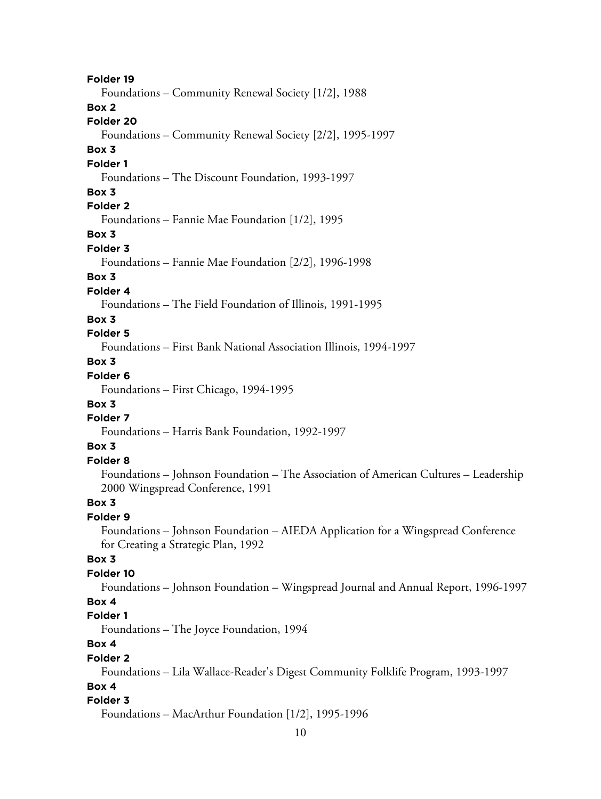10 **Folder 19** Foundations – Community Renewal Society [1/2], 1988 **Box 2 Folder 20** Foundations – Community Renewal Society [2/2], 1995-1997 **Box 3 Folder 1** Foundations – The Discount Foundation, 1993-1997 **Box 3 Folder 2** Foundations – Fannie Mae Foundation [1/2], 1995 **Box 3 Folder 3** Foundations – Fannie Mae Foundation [2/2], 1996-1998 **Box 3 Folder 4** Foundations – The Field Foundation of Illinois, 1991-1995 **Box 3 Folder 5** Foundations – First Bank National Association Illinois, 1994-1997 **Box 3 Folder 6** Foundations – First Chicago, 1994-1995 **Box 3 Folder 7** Foundations – Harris Bank Foundation, 1992-1997 **Box 3 Folder 8** Foundations – Johnson Foundation – The Association of American Cultures – Leadership 2000 Wingspread Conference, 1991 **Box 3 Folder 9** Foundations – Johnson Foundation – AIEDA Application for a Wingspread Conference for Creating a Strategic Plan, 1992 **Box 3 Folder 10** Foundations – Johnson Foundation – Wingspread Journal and Annual Report, 1996-1997 **Box 4 Folder 1** Foundations – The Joyce Foundation, 1994 **Box 4 Folder 2** Foundations – Lila Wallace-Reader's Digest Community Folklife Program, 1993-1997 **Box 4 Folder 3** Foundations – MacArthur Foundation [1/2], 1995-1996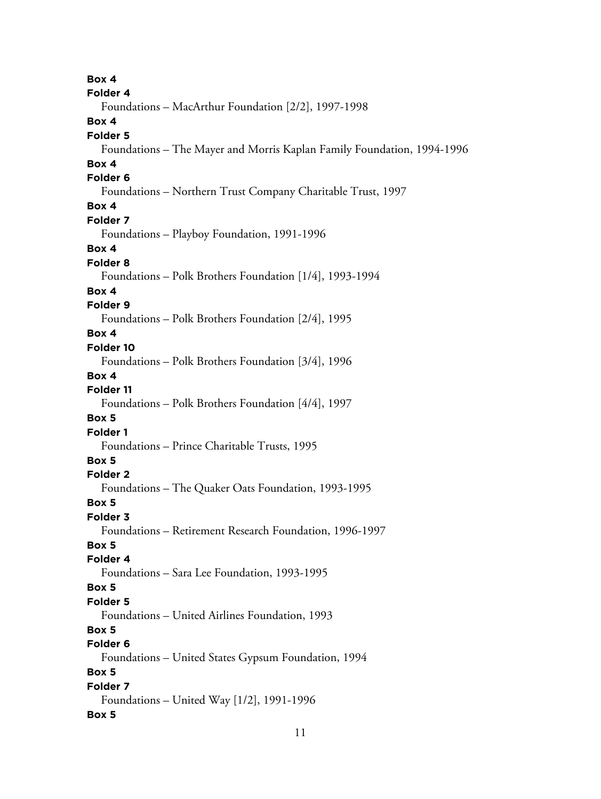**Box 4 Folder 4** Foundations – MacArthur Foundation [2/2], 1997-1998 **Box 4 Folder 5** Foundations – The Mayer and Morris Kaplan Family Foundation, 1994-1996 **Box 4 Folder 6** Foundations – Northern Trust Company Charitable Trust, 1997 **Box 4 Folder 7** Foundations – Playboy Foundation, 1991-1996 **Box 4 Folder 8** Foundations – Polk Brothers Foundation [1/4], 1993-1994 **Box 4 Folder 9** Foundations – Polk Brothers Foundation [2/4], 1995 **Box 4 Folder 10** Foundations – Polk Brothers Foundation [3/4], 1996 **Box 4 Folder 11** Foundations – Polk Brothers Foundation [4/4], 1997 **Box 5 Folder 1** Foundations – Prince Charitable Trusts, 1995 **Box 5 Folder 2** Foundations – The Quaker Oats Foundation, 1993-1995 **Box 5 Folder 3** Foundations – Retirement Research Foundation, 1996-1997 **Box 5 Folder 4** Foundations – Sara Lee Foundation, 1993-1995 **Box 5 Folder 5** Foundations – United Airlines Foundation, 1993 **Box 5 Folder 6** Foundations – United States Gypsum Foundation, 1994 **Box 5 Folder 7** Foundations – United Way [1/2], 1991-1996 **Box 5**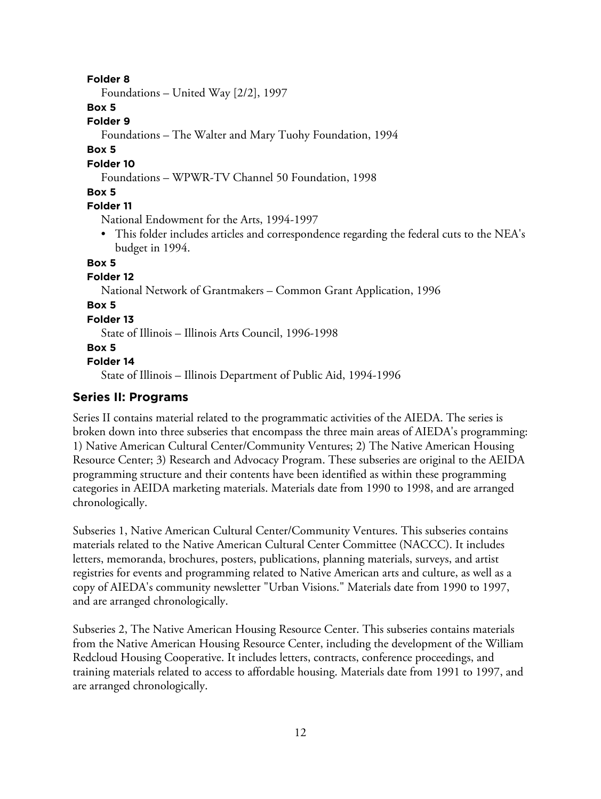#### **Folder 8**

Foundations – United Way [2/2], 1997

### **Box 5**

#### **Folder 9**

Foundations – The Walter and Mary Tuohy Foundation, 1994

#### **Box 5**

#### **Folder 10**

Foundations – WPWR-TV Channel 50 Foundation, 1998

#### **Box 5**

#### **Folder 11**

National Endowment for the Arts, 1994-1997

• This folder includes articles and correspondence regarding the federal cuts to the NEA's budget in 1994.

#### **Box 5**

#### **Folder 12**

National Network of Grantmakers – Common Grant Application, 1996

### **Box 5**

#### **Folder 13**

State of Illinois – Illinois Arts Council, 1996-1998

#### **Box 5**

#### **Folder 14**

State of Illinois – Illinois Department of Public Aid, 1994-1996

### **Series II: Programs**

Series II contains material related to the programmatic activities of the AIEDA. The series is broken down into three subseries that encompass the three main areas of AIEDA's programming: 1) Native American Cultural Center/Community Ventures; 2) The Native American Housing Resource Center; 3) Research and Advocacy Program. These subseries are original to the AEIDA programming structure and their contents have been identified as within these programming categories in AEIDA marketing materials. Materials date from 1990 to 1998, and are arranged chronologically.

Subseries 1, Native American Cultural Center/Community Ventures. This subseries contains materials related to the Native American Cultural Center Committee (NACCC). It includes letters, memoranda, brochures, posters, publications, planning materials, surveys, and artist registries for events and programming related to Native American arts and culture, as well as a copy of AIEDA's community newsletter "Urban Visions." Materials date from 1990 to 1997, and are arranged chronologically.

Subseries 2, The Native American Housing Resource Center. This subseries contains materials from the Native American Housing Resource Center, including the development of the William Redcloud Housing Cooperative. It includes letters, contracts, conference proceedings, and training materials related to access to affordable housing. Materials date from 1991 to 1997, and are arranged chronologically.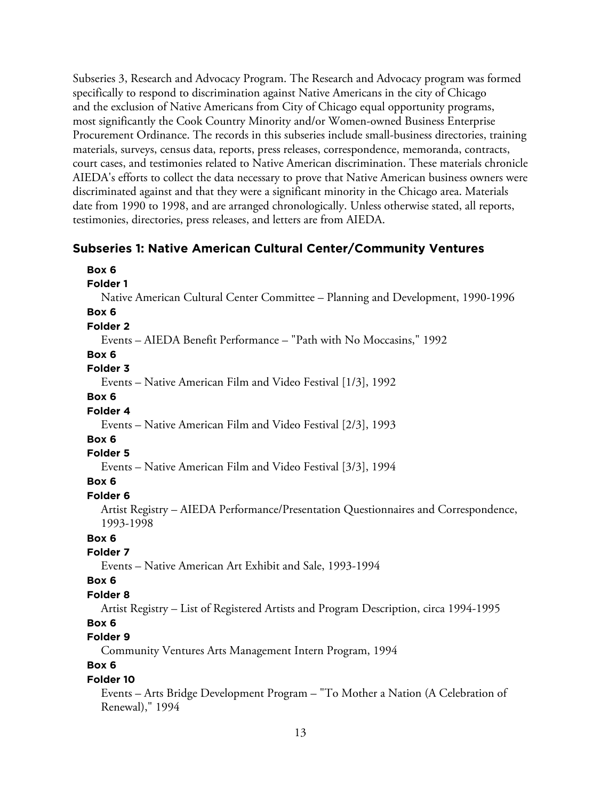Subseries 3, Research and Advocacy Program. The Research and Advocacy program was formed specifically to respond to discrimination against Native Americans in the city of Chicago and the exclusion of Native Americans from City of Chicago equal opportunity programs, most significantly the Cook Country Minority and/or Women-owned Business Enterprise Procurement Ordinance. The records in this subseries include small-business directories, training materials, surveys, census data, reports, press releases, correspondence, memoranda, contracts, court cases, and testimonies related to Native American discrimination. These materials chronicle AIEDA's efforts to collect the data necessary to prove that Native American business owners were discriminated against and that they were a significant minority in the Chicago area. Materials date from 1990 to 1998, and are arranged chronologically. Unless otherwise stated, all reports, testimonies, directories, press releases, and letters are from AIEDA.

### **Subseries 1: Native American Cultural Center/Community Ventures**

| Box 6                                                                                            |
|--------------------------------------------------------------------------------------------------|
| <b>Folder 1</b>                                                                                  |
| Native American Cultural Center Committee - Planning and Development, 1990-1996                  |
| Box 6                                                                                            |
| Folder <sub>2</sub>                                                                              |
| Events – AIEDA Benefit Performance – "Path with No Moccasins," 1992                              |
| Box 6                                                                                            |
| Folder 3                                                                                         |
| Events – Native American Film and Video Festival [1/3], 1992                                     |
| Box 6                                                                                            |
| Folder 4                                                                                         |
| Events – Native American Film and Video Festival [2/3], 1993                                     |
| Box 6                                                                                            |
| Folder 5                                                                                         |
| Events - Native American Film and Video Festival [3/3], 1994                                     |
| Box 6                                                                                            |
| Folder <sub>6</sub>                                                                              |
| Artist Registry - AIEDA Performance/Presentation Questionnaires and Correspondence,<br>1993-1998 |
| Box 6                                                                                            |
| Folder 7                                                                                         |
| Events - Native American Art Exhibit and Sale, 1993-1994                                         |
| Box 6                                                                                            |
| Folder <sub>8</sub>                                                                              |
| Artist Registry - List of Registered Artists and Program Description, circa 1994-1995            |
| Box 6                                                                                            |
| Folder 9                                                                                         |
| Community Ventures Arts Management Intern Program, 1994                                          |
| Box 6                                                                                            |
| Folder 10                                                                                        |
| Events - Arts Bridge Development Program - "To Mother a Nation (A Celebration of                 |

Renewal)," 1994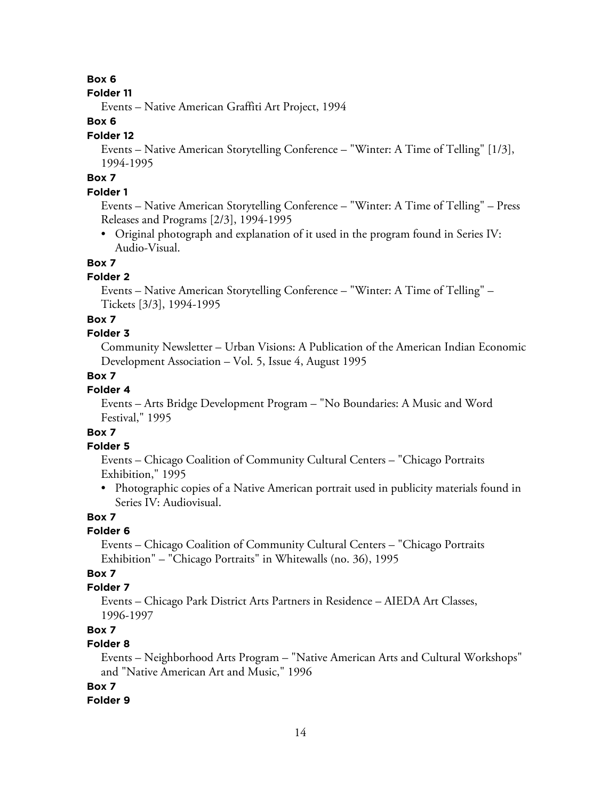#### **Box 6**

#### **Folder 11**

Events – Native American Graffiti Art Project, 1994

### **Box 6**

### **Folder 12**

Events – Native American Storytelling Conference – "Winter: A Time of Telling" [1/3], 1994-1995

### **Box 7**

### **Folder 1**

Events – Native American Storytelling Conference – "Winter: A Time of Telling" – Press Releases and Programs [2/3], 1994-1995

• Original photograph and explanation of it used in the program found in Series IV: Audio-Visual.

### **Box 7**

### **Folder 2**

Events – Native American Storytelling Conference – "Winter: A Time of Telling" – Tickets [3/3], 1994-1995

#### **Box 7**

#### **Folder 3**

Community Newsletter – Urban Visions: A Publication of the American Indian Economic Development Association – Vol. 5, Issue 4, August 1995

### **Box 7**

### **Folder 4**

Events – Arts Bridge Development Program – "No Boundaries: A Music and Word Festival," 1995

### **Box 7**

#### **Folder 5**

Events – Chicago Coalition of Community Cultural Centers – "Chicago Portraits Exhibition," 1995

• Photographic copies of a Native American portrait used in publicity materials found in Series IV: Audiovisual.

### **Box 7**

### **Folder 6**

Events – Chicago Coalition of Community Cultural Centers – "Chicago Portraits Exhibition" – "Chicago Portraits" in Whitewalls (no. 36), 1995

### **Box 7**

### **Folder 7**

Events – Chicago Park District Arts Partners in Residence – AIEDA Art Classes, 1996-1997

### **Box 7**

### **Folder 8**

Events – Neighborhood Arts Program – "Native American Arts and Cultural Workshops" and "Native American Art and Music," 1996

### **Box 7**

### **Folder 9**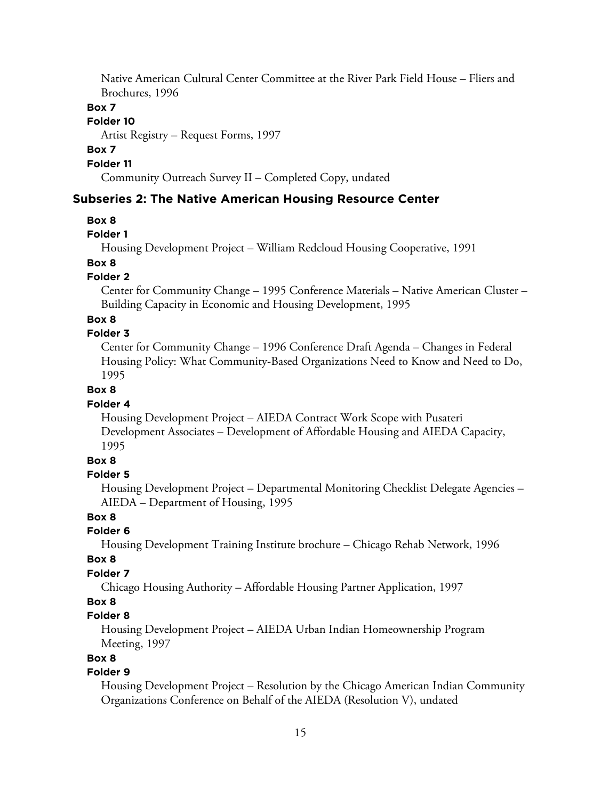Native American Cultural Center Committee at the River Park Field House – Fliers and Brochures, 1996

#### **Box 7**

#### **Folder 10**

Artist Registry – Request Forms, 1997

#### **Box 7**

**Folder 11**

Community Outreach Survey II – Completed Copy, undated

### **Subseries 2: The Native American Housing Resource Center**

#### **Box 8**

#### **Folder 1**

Housing Development Project – William Redcloud Housing Cooperative, 1991

### **Box 8**

#### **Folder 2**

Center for Community Change – 1995 Conference Materials – Native American Cluster – Building Capacity in Economic and Housing Development, 1995

#### **Box 8**

#### **Folder 3**

Center for Community Change – 1996 Conference Draft Agenda – Changes in Federal Housing Policy: What Community-Based Organizations Need to Know and Need to Do, 1995

#### **Box 8**

#### **Folder 4**

Housing Development Project – AIEDA Contract Work Scope with Pusateri Development Associates – Development of Affordable Housing and AIEDA Capacity, 1995

### **Box 8**

#### **Folder 5**

Housing Development Project – Departmental Monitoring Checklist Delegate Agencies – AIEDA – Department of Housing, 1995

#### **Box 8**

### **Folder 6**

Housing Development Training Institute brochure – Chicago Rehab Network, 1996

### **Box 8**

### **Folder 7**

Chicago Housing Authority – Affordable Housing Partner Application, 1997

#### **Box 8**

#### **Folder 8**

Housing Development Project – AIEDA Urban Indian Homeownership Program Meeting, 1997

#### **Box 8**

### **Folder 9**

Housing Development Project – Resolution by the Chicago American Indian Community Organizations Conference on Behalf of the AIEDA (Resolution V), undated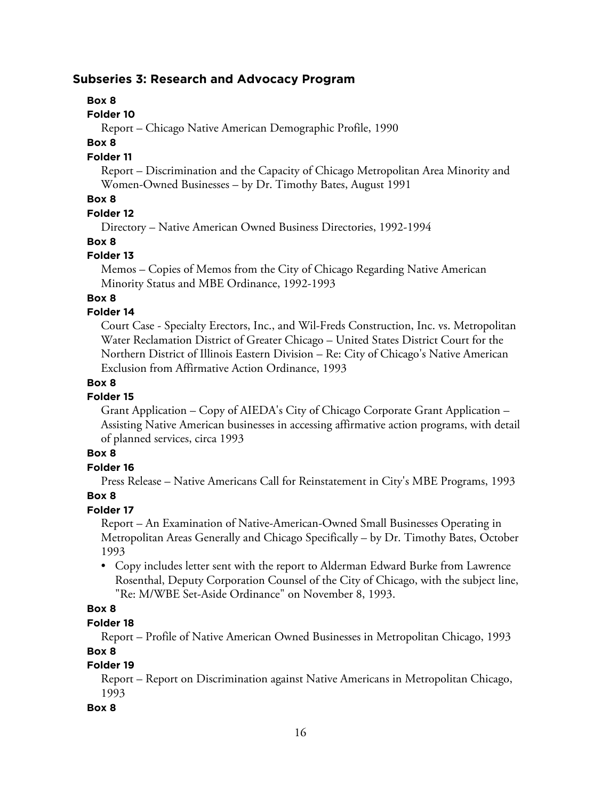### **Subseries 3: Research and Advocacy Program**

### **Box 8**

**Folder 10**

Report – Chicago Native American Demographic Profile, 1990

### **Box 8**

### **Folder 11**

Report – Discrimination and the Capacity of Chicago Metropolitan Area Minority and Women-Owned Businesses – by Dr. Timothy Bates, August 1991

### **Box 8**

#### **Folder 12**

Directory – Native American Owned Business Directories, 1992-1994

### **Box 8**

### **Folder 13**

Memos – Copies of Memos from the City of Chicago Regarding Native American Minority Status and MBE Ordinance, 1992-1993

### **Box 8**

### **Folder 14**

Court Case - Specialty Erectors, Inc., and Wil-Freds Construction, Inc. vs. Metropolitan Water Reclamation District of Greater Chicago – United States District Court for the Northern District of Illinois Eastern Division – Re: City of Chicago's Native American Exclusion from Affirmative Action Ordinance, 1993

#### **Box 8**

### **Folder 15**

Grant Application – Copy of AIEDA's City of Chicago Corporate Grant Application – Assisting Native American businesses in accessing affirmative action programs, with detail of planned services, circa 1993

### **Box 8**

### **Folder 16**

Press Release – Native Americans Call for Reinstatement in City's MBE Programs, 1993 **Box 8**

### **Folder 17**

Report – An Examination of Native-American-Owned Small Businesses Operating in Metropolitan Areas Generally and Chicago Specifically – by Dr. Timothy Bates, October 1993

• Copy includes letter sent with the report to Alderman Edward Burke from Lawrence Rosenthal, Deputy Corporation Counsel of the City of Chicago, with the subject line, "Re: M/WBE Set-Aside Ordinance" on November 8, 1993.

### **Box 8**

### **Folder 18**

Report – Profile of Native American Owned Businesses in Metropolitan Chicago, 1993 **Box 8**

### **Folder 19**

Report – Report on Discrimination against Native Americans in Metropolitan Chicago, 1993

### **Box 8**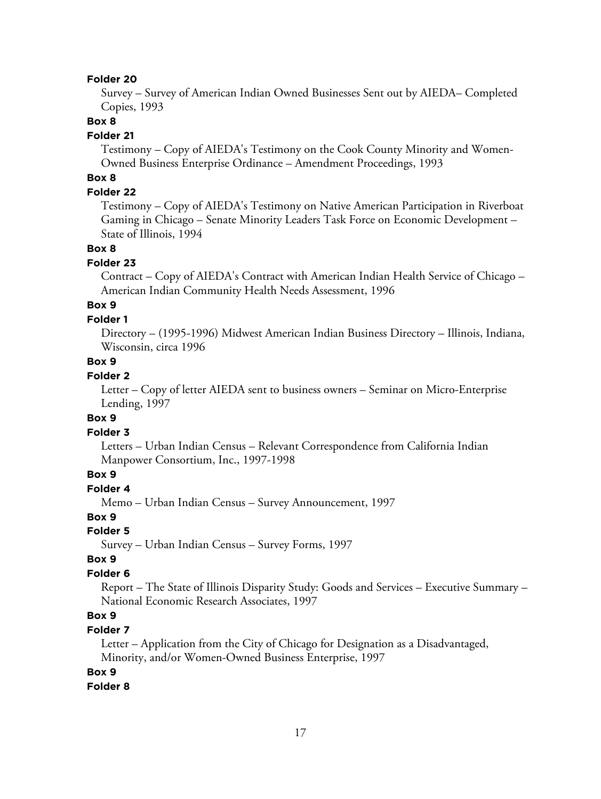#### **Folder 20**

Survey – Survey of American Indian Owned Businesses Sent out by AIEDA– Completed Copies, 1993

#### **Box 8**

#### **Folder 21**

Testimony – Copy of AIEDA's Testimony on the Cook County Minority and Women-Owned Business Enterprise Ordinance – Amendment Proceedings, 1993

### **Box 8**

### **Folder 22**

Testimony – Copy of AIEDA's Testimony on Native American Participation in Riverboat Gaming in Chicago – Senate Minority Leaders Task Force on Economic Development – State of Illinois, 1994

#### **Box 8**

#### **Folder 23**

Contract – Copy of AIEDA's Contract with American Indian Health Service of Chicago – American Indian Community Health Needs Assessment, 1996

### **Box 9**

#### **Folder 1**

Directory – (1995-1996) Midwest American Indian Business Directory – Illinois, Indiana, Wisconsin, circa 1996

### **Box 9**

### **Folder 2**

Letter – Copy of letter AIEDA sent to business owners – Seminar on Micro-Enterprise Lending, 1997

#### **Box 9**

#### **Folder 3**

Letters – Urban Indian Census – Relevant Correspondence from California Indian Manpower Consortium, Inc., 1997-1998

### **Box 9**

### **Folder 4**

Memo – Urban Indian Census – Survey Announcement, 1997

#### **Box 9**

#### **Folder 5**

Survey – Urban Indian Census – Survey Forms, 1997

#### **Box 9**

#### **Folder 6**

Report – The State of Illinois Disparity Study: Goods and Services – Executive Summary – National Economic Research Associates, 1997

### **Box 9**

#### **Folder 7**

Letter – Application from the City of Chicago for Designation as a Disadvantaged, Minority, and/or Women-Owned Business Enterprise, 1997

#### **Box 9**

#### **Folder 8**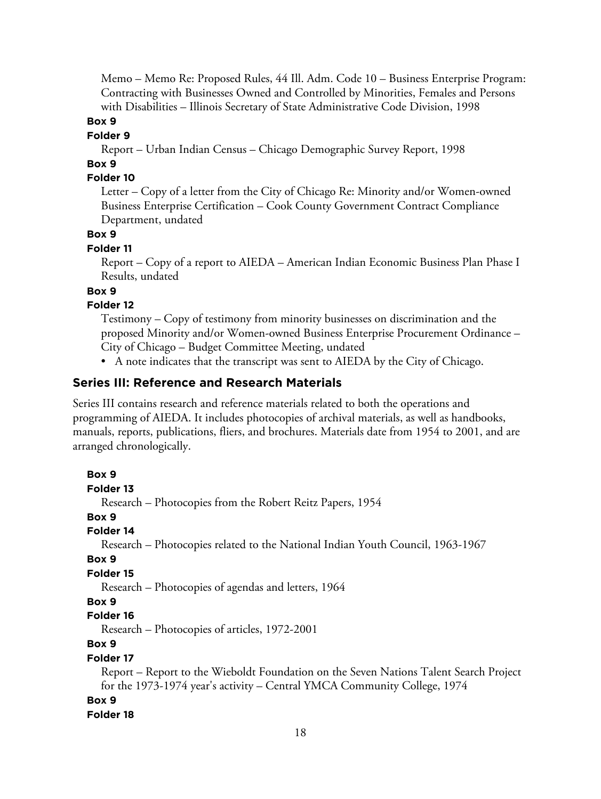Memo – Memo Re: Proposed Rules, 44 Ill. Adm. Code 10 – Business Enterprise Program: Contracting with Businesses Owned and Controlled by Minorities, Females and Persons with Disabilities – Illinois Secretary of State Administrative Code Division, 1998

**Box 9**

#### **Folder 9**

Report – Urban Indian Census – Chicago Demographic Survey Report, 1998

### **Box 9**

#### **Folder 10**

Letter – Copy of a letter from the City of Chicago Re: Minority and/or Women-owned Business Enterprise Certification – Cook County Government Contract Compliance Department, undated

#### **Box 9**

#### **Folder 11**

Report – Copy of a report to AIEDA – American Indian Economic Business Plan Phase I Results, undated

### **Box 9**

### **Folder 12**

Testimony – Copy of testimony from minority businesses on discrimination and the proposed Minority and/or Women-owned Business Enterprise Procurement Ordinance – City of Chicago – Budget Committee Meeting, undated

• A note indicates that the transcript was sent to AIEDA by the City of Chicago.

#### **Series III: Reference and Research Materials**

Series III contains research and reference materials related to both the operations and programming of AIEDA. It includes photocopies of archival materials, as well as handbooks, manuals, reports, publications, fliers, and brochures. Materials date from 1954 to 2001, and are arranged chronologically.

```
Box 9
Folder 13
  Research – Photocopies from the Robert Reitz Papers, 1954
Box 9
Folder 14
  Research – Photocopies related to the National Indian Youth Council, 1963-1967
Box 9
Folder 15
  Research – Photocopies of agendas and letters, 1964
Box 9
Folder 16
  Research – Photocopies of articles, 1972-2001
Box 9
Folder 17
  Report – Report to the Wieboldt Foundation on the Seven Nations Talent Search Project
  for the 1973-1974 year's activity – Central YMCA Community College, 1974
Box 9
Folder 18
```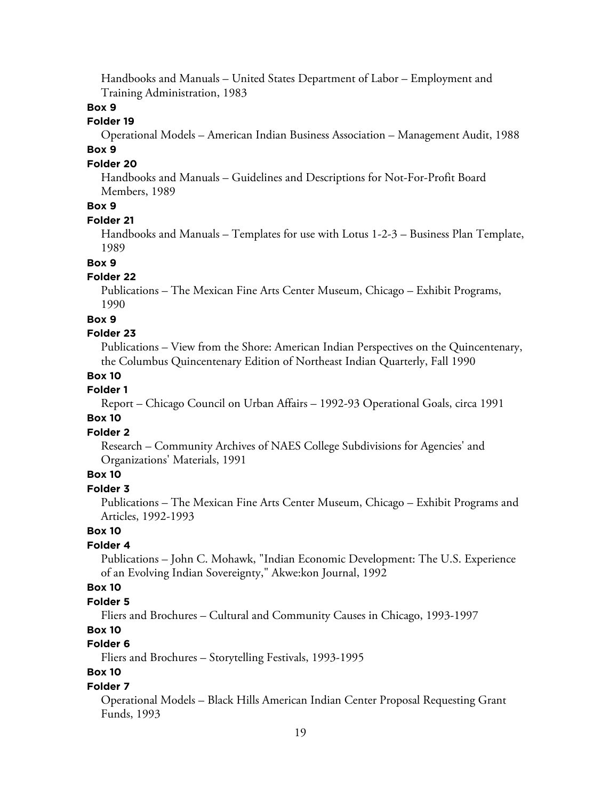Handbooks and Manuals – United States Department of Labor – Employment and Training Administration, 1983

### **Box 9**

#### **Folder 19**

Operational Models – American Indian Business Association – Management Audit, 1988 **Box 9**

### **Folder 20**

Handbooks and Manuals – Guidelines and Descriptions for Not-For-Profit Board Members, 1989

### **Box 9**

#### **Folder 21**

Handbooks and Manuals – Templates for use with Lotus 1-2-3 – Business Plan Template, 1989

### **Box 9**

### **Folder 22**

Publications – The Mexican Fine Arts Center Museum, Chicago – Exhibit Programs, 1990

#### **Box 9**

#### **Folder 23**

Publications – View from the Shore: American Indian Perspectives on the Quincentenary, the Columbus Quincentenary Edition of Northeast Indian Quarterly, Fall 1990

#### **Box 10**

#### **Folder 1**

Report – Chicago Council on Urban Affairs – 1992-93 Operational Goals, circa 1991

#### **Box 10**

### **Folder 2**

Research – Community Archives of NAES College Subdivisions for Agencies' and Organizations' Materials, 1991

### **Box 10**

### **Folder 3**

Publications – The Mexican Fine Arts Center Museum, Chicago – Exhibit Programs and Articles, 1992-1993

### **Box 10**

#### **Folder 4**

Publications – John C. Mohawk, "Indian Economic Development: The U.S. Experience of an Evolving Indian Sovereignty," Akwe:kon Journal, 1992

### **Box 10**

#### **Folder 5**

Fliers and Brochures – Cultural and Community Causes in Chicago, 1993-1997

#### **Box 10**

### **Folder 6**

Fliers and Brochures – Storytelling Festivals, 1993-1995

### **Box 10**

#### **Folder 7**

Operational Models – Black Hills American Indian Center Proposal Requesting Grant Funds, 1993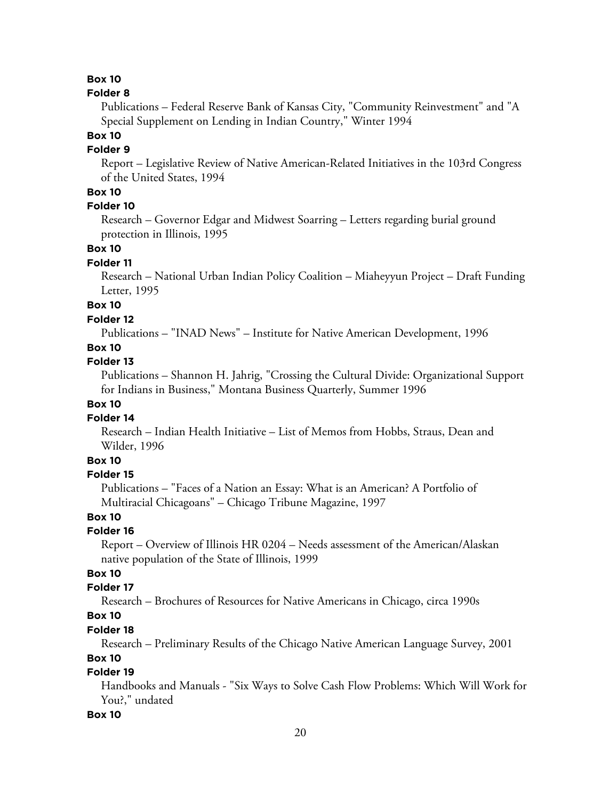#### **Box 10**

#### **Folder 8**

Publications – Federal Reserve Bank of Kansas City, "Community Reinvestment" and "A Special Supplement on Lending in Indian Country," Winter 1994

### **Box 10**

### **Folder 9**

Report – Legislative Review of Native American-Related Initiatives in the 103rd Congress of the United States, 1994

### **Box 10**

### **Folder 10**

Research – Governor Edgar and Midwest Soarring – Letters regarding burial ground protection in Illinois, 1995

#### **Box 10**

#### **Folder 11**

Research – National Urban Indian Policy Coalition – Miaheyyun Project – Draft Funding Letter, 1995

### **Box 10**

#### **Folder 12**

Publications – "INAD News" – Institute for Native American Development, 1996

### **Box 10**

### **Folder 13**

Publications – Shannon H. Jahrig, "Crossing the Cultural Divide: Organizational Support for Indians in Business," Montana Business Quarterly, Summer 1996

### **Box 10**

#### **Folder 14**

Research – Indian Health Initiative – List of Memos from Hobbs, Straus, Dean and Wilder, 1996

### **Box 10**

#### **Folder 15**

Publications – "Faces of a Nation an Essay: What is an American? A Portfolio of Multiracial Chicagoans" – Chicago Tribune Magazine, 1997

### **Box 10**

#### **Folder 16**

Report – Overview of Illinois HR 0204 – Needs assessment of the American/Alaskan native population of the State of Illinois, 1999

### **Box 10**

### **Folder 17**

Research – Brochures of Resources for Native Americans in Chicago, circa 1990s

### **Box 10**

#### **Folder 18**

Research – Preliminary Results of the Chicago Native American Language Survey, 2001

### **Box 10**

### **Folder 19**

Handbooks and Manuals - "Six Ways to Solve Cash Flow Problems: Which Will Work for You?," undated

#### **Box 10**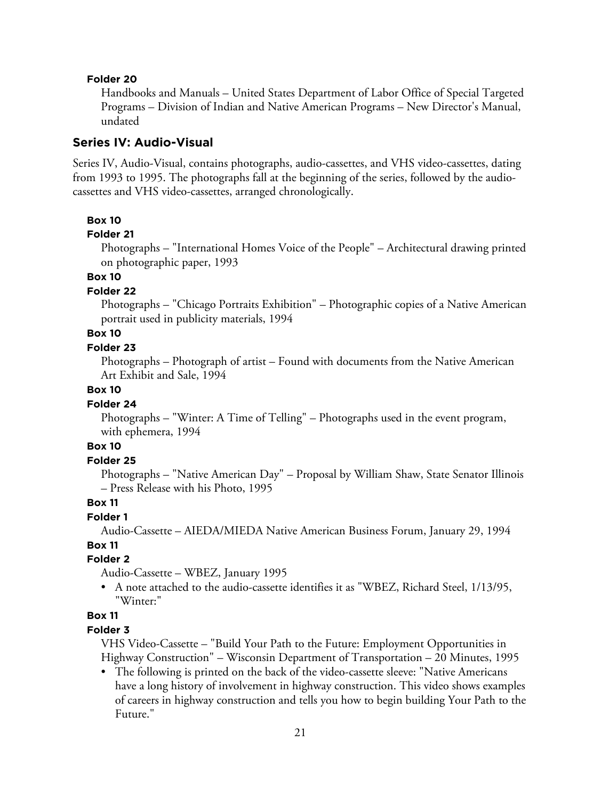#### **Folder 20**

Handbooks and Manuals – United States Department of Labor Office of Special Targeted Programs – Division of Indian and Native American Programs – New Director's Manual, undated

#### **Series IV: Audio-Visual**

Series IV, Audio-Visual, contains photographs, audio-cassettes, and VHS video-cassettes, dating from 1993 to 1995. The photographs fall at the beginning of the series, followed by the audiocassettes and VHS video-cassettes, arranged chronologically.

#### **Box 10**

#### **Folder 21**

Photographs – "International Homes Voice of the People" – Architectural drawing printed on photographic paper, 1993

#### **Box 10**

#### **Folder 22**

Photographs – "Chicago Portraits Exhibition" – Photographic copies of a Native American portrait used in publicity materials, 1994

### **Box 10**

### **Folder 23**

Photographs – Photograph of artist – Found with documents from the Native American Art Exhibit and Sale, 1994

#### **Box 10**

#### **Folder 24**

Photographs – "Winter: A Time of Telling" – Photographs used in the event program, with ephemera, 1994

### **Box 10**

#### **Folder 25**

Photographs – "Native American Day" – Proposal by William Shaw, State Senator Illinois – Press Release with his Photo, 1995

#### **Box 11**

#### **Folder 1**

Audio-Cassette – AIEDA/MIEDA Native American Business Forum, January 29, 1994 **Box 11**

### **Folder 2**

Audio-Cassette – WBEZ, January 1995

• A note attached to the audio-cassette identifies it as "WBEZ, Richard Steel, 1/13/95, "Winter:"

### **Box 11**

#### **Folder 3**

VHS Video-Cassette – "Build Your Path to the Future: Employment Opportunities in Highway Construction" – Wisconsin Department of Transportation – 20 Minutes, 1995

• The following is printed on the back of the video-cassette sleeve: "Native Americans have a long history of involvement in highway construction. This video shows examples of careers in highway construction and tells you how to begin building Your Path to the Future."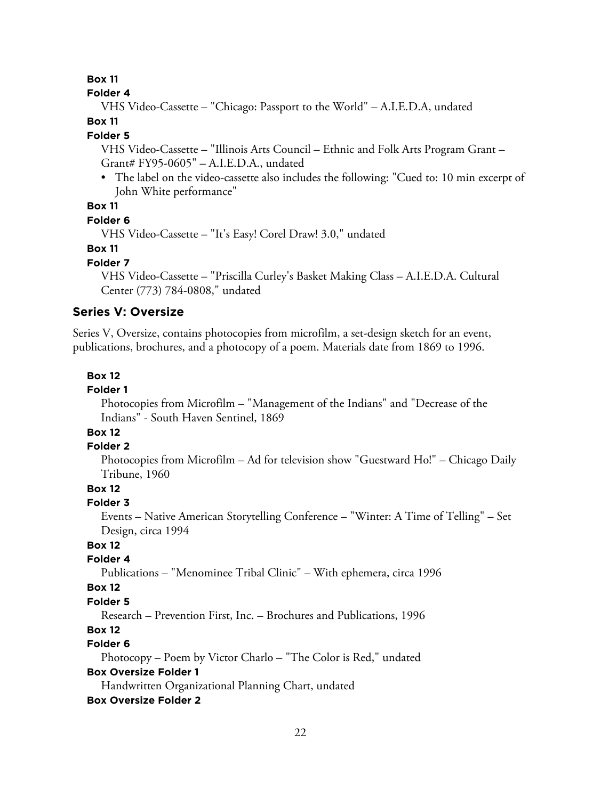#### **Box 11**

#### **Folder 4**

VHS Video-Cassette – "Chicago: Passport to the World" – A.I.E.D.A, undated

#### **Box 11**

#### **Folder 5**

VHS Video-Cassette – "Illinois Arts Council – Ethnic and Folk Arts Program Grant – Grant# FY95-0605" – A.I.E.D.A., undated

• The label on the video-cassette also includes the following: "Cued to: 10 min excerpt of John White performance"

### **Box 11**

#### **Folder 6**

VHS Video-Cassette – "It's Easy! Corel Draw! 3.0," undated

### **Box 11**

#### **Folder 7**

VHS Video-Cassette – "Priscilla Curley's Basket Making Class – A.I.E.D.A. Cultural Center (773) 784-0808," undated

#### **Series V: Oversize**

Series V, Oversize, contains photocopies from microfilm, a set-design sketch for an event, publications, brochures, and a photocopy of a poem. Materials date from 1869 to 1996.

#### **Box 12**

### **Folder 1**

Photocopies from Microfilm – "Management of the Indians" and "Decrease of the Indians" - South Haven Sentinel, 1869

### **Box 12**

#### **Folder 2**

Photocopies from Microfilm – Ad for television show "Guestward Ho!" – Chicago Daily Tribune, 1960

#### **Box 12**

#### **Folder 3**

Events – Native American Storytelling Conference – "Winter: A Time of Telling" – Set Design, circa 1994

#### **Box 12**

#### **Folder 4**

Publications – "Menominee Tribal Clinic" – With ephemera, circa 1996

#### **Box 12**

#### **Folder 5**

Research – Prevention First, Inc. – Brochures and Publications, 1996

### **Box 12**

### **Folder 6**

Photocopy – Poem by Victor Charlo – "The Color is Red," undated

#### **Box Oversize Folder 1**

Handwritten Organizational Planning Chart, undated

#### **Box Oversize Folder 2**